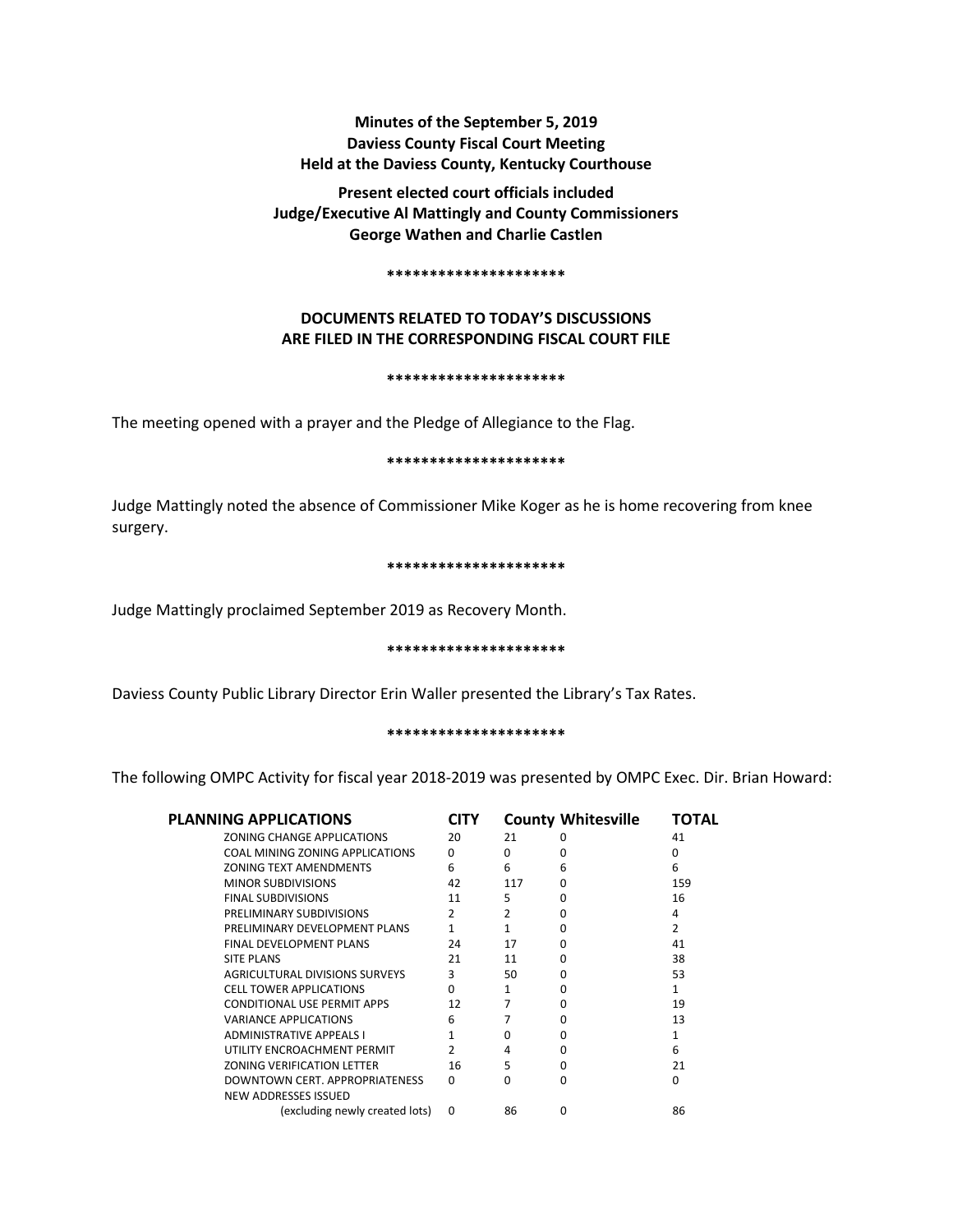# **Minutes of the September 5, 2019 Daviess County Fiscal Court Meeting Held at the Daviess County, Kentucky Courthouse**

**Present elected court officials included Judge/Executive Al Mattingly and County Commissioners George Wathen and Charlie Castlen** 

#### **\*\*\*\*\*\*\*\*\*\*\*\*\*\*\*\*\*\*\*\*\***

# **DOCUMENTS RELATED TO TODAY'S DISCUSSIONS ARE FILED IN THE CORRESPONDING FISCAL COURT FILE**

#### **\*\*\*\*\*\*\*\*\*\*\*\*\*\*\*\*\*\*\*\*\***

The meeting opened with a prayer and the Pledge of Allegiance to the Flag.

# **\*\*\*\*\*\*\*\*\*\*\*\*\*\*\*\*\*\*\*\*\***

Judge Mattingly noted the absence of Commissioner Mike Koger as he is home recovering from knee surgery.

# **\*\*\*\*\*\*\*\*\*\*\*\*\*\*\*\*\*\*\*\*\***

Judge Mattingly proclaimed September 2019 as Recovery Month.

# **\*\*\*\*\*\*\*\*\*\*\*\*\*\*\*\*\*\*\*\*\***

Daviess County Public Library Director Erin Waller presented the Library's Tax Rates.

# **\*\*\*\*\*\*\*\*\*\*\*\*\*\*\*\*\*\*\*\*\***

The following OMPC Activity for fiscal year 2018-2019 was presented by OMPC Exec. Dir. Brian Howard:

| <b>PLANNING APPLICATIONS</b>                                  | CITY         |     | <b>County Whitesville</b> | ΤΟΤΔΙ |
|---------------------------------------------------------------|--------------|-----|---------------------------|-------|
| ZONING CHANGE APPLICATIONS                                    | 20           | 21  | o                         | 41    |
| COAL MINING ZONING APPLICATIONS                               | <sup>0</sup> | 0   | n                         | o     |
| <b>ZONING TEXT AMENDMENTS</b>                                 | 6            | 6   | 6                         | 6     |
| <b>MINOR SUBDIVISIONS</b>                                     | 42           | 117 | o                         | 159   |
| <b>FINAL SUBDIVISIONS</b>                                     | 11           | 5   | n                         | 16    |
| PRELIMINARY SUBDIVISIONS                                      | 2            | 2   |                           | 4     |
| PRELIMINARY DEVELOPMENT PLANS                                 |              | 1   | o                         | 2     |
| <b>FINAL DEVELOPMENT PLANS</b>                                | 24           | 17  | n                         | 41    |
| <b>SITE PLANS</b>                                             | 21           | 11  | n                         | 38    |
| AGRICULTURAL DIVISIONS SURVEYS                                | 3            | 50  | n                         | 53    |
| <b>CELL TOWER APPLICATIONS</b>                                | <sup>0</sup> | 1   | n                         | 1     |
| CONDITIONAL USE PERMIT APPS                                   | 12           | 7   | n                         | 19    |
| <b>VARIANCE APPLICATIONS</b>                                  | 6            |     |                           | 13    |
| <b>ADMINISTRATIVE APPEALS I</b>                               |              | n   | U                         |       |
| UTILITY ENCROACHMENT PERMIT                                   |              | 4   | O                         | 6     |
| <b>ZONING VERIFICATION LETTER</b>                             | 16           | 5   | U                         | 21    |
| DOWNTOWN CERT. APPROPRIATENESS<br><b>NEW ADDRESSES ISSUED</b> | <sup>0</sup> | O   | U                         | O     |
| (excluding newly created lots)                                | 0            | 86  | ŋ                         | 86    |
|                                                               |              |     |                           |       |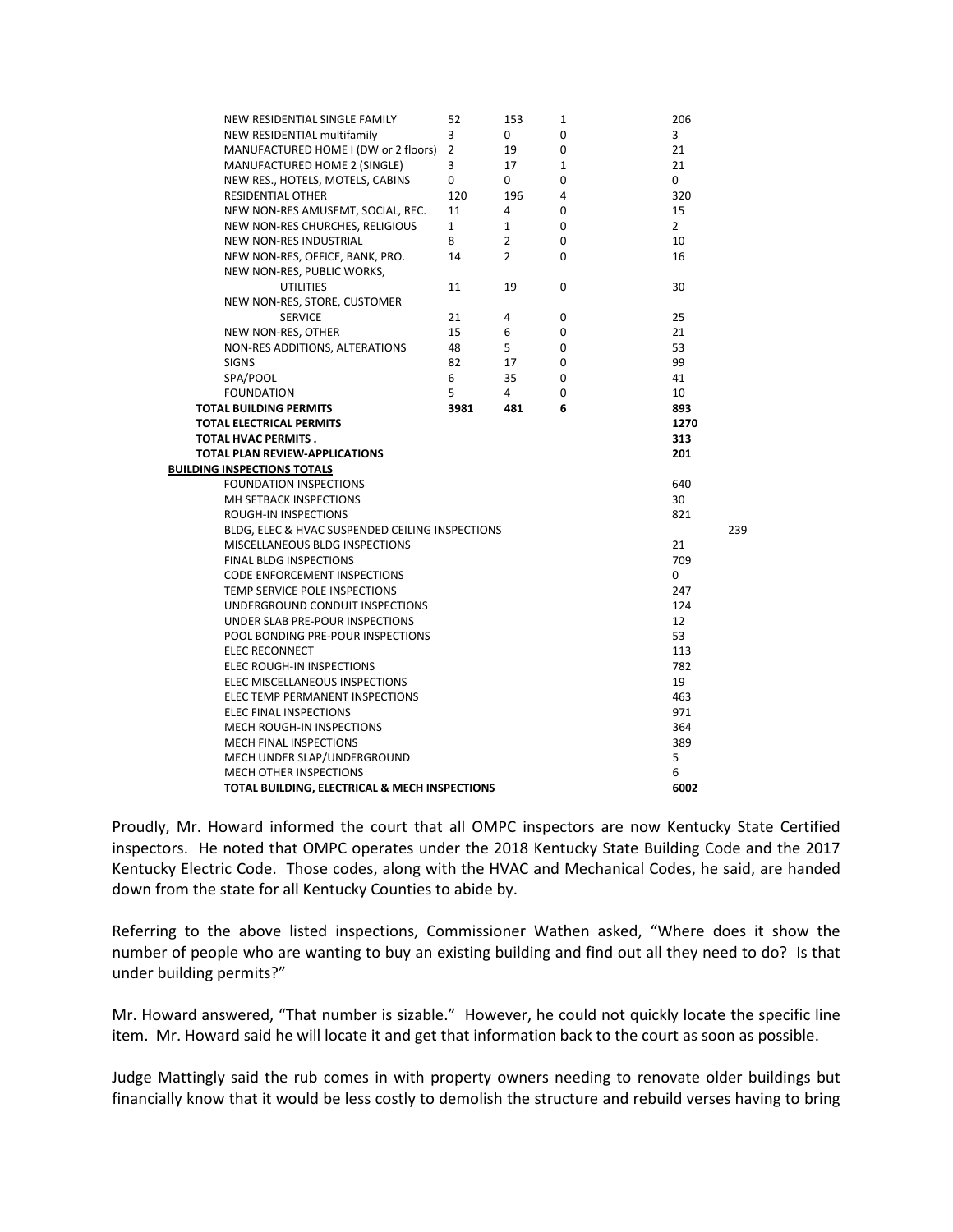|  | NEW RESIDENTIAL SINGLE FAMILY                   | 52             | 153            | $1\,$        | 206            |
|--|-------------------------------------------------|----------------|----------------|--------------|----------------|
|  | NEW RESIDENTIAL multifamily                     | 3              | 0              | 0            | 3              |
|  | MANUFACTURED HOME I (DW or 2 floors)            | $\overline{2}$ | 19             | 0            | 21             |
|  | MANUFACTURED HOME 2 (SINGLE)                    | 3              | 17             | $\mathbf{1}$ | 21             |
|  | NEW RES., HOTELS, MOTELS, CABINS                | $\mathbf{0}$   | 0              | 0            | $\mathbf{0}$   |
|  | RESIDENTIAL OTHER                               | 120            | 196            | 4            | 320            |
|  | NEW NON-RES AMUSEMT, SOCIAL, REC.               | 11             | 4              | 0            | 15             |
|  | NEW NON-RES CHURCHES, RELIGIOUS                 | $\mathbf{1}$   | $\mathbf{1}$   | 0            | $\overline{2}$ |
|  | <b>NEW NON-RES INDUSTRIAL</b>                   | 8              | $\overline{2}$ | 0            | 10             |
|  | NEW NON-RES, OFFICE, BANK, PRO.                 | 14             | $\overline{2}$ | 0            | 16             |
|  | NEW NON-RES, PUBLIC WORKS,                      |                |                |              |                |
|  | <b>UTILITIES</b>                                | 11             | 19             | 0            | 30             |
|  | NEW NON-RES, STORE, CUSTOMER                    |                |                |              |                |
|  | <b>SERVICE</b>                                  | 21             | 4              | 0            | 25             |
|  | NEW NON-RES, OTHER                              | 15             | 6              | 0            | 21             |
|  | NON-RES ADDITIONS, ALTERATIONS                  | 48             | 5              | 0            | 53             |
|  | <b>SIGNS</b>                                    | 82             | 17             | 0            | 99             |
|  | SPA/POOL                                        | 6              | 35             | 0            | 41             |
|  | <b>FOUNDATION</b>                               | 5              | 4              | 0            | 10             |
|  | <b>TOTAL BUILDING PERMITS</b>                   | 3981           | 481            | 6            | 893            |
|  | TOTAL ELECTRICAL PERMITS                        |                |                |              | 1270           |
|  | TOTAL HVAC PERMITS.                             |                |                |              | 313            |
|  | TOTAL PLAN REVIEW-APPLICATIONS                  |                |                |              | 201            |
|  | <b>BUILDING INSPECTIONS TOTALS</b>              |                |                |              |                |
|  | <b>FOUNDATION INSPECTIONS</b>                   |                |                |              | 640            |
|  | MH SETBACK INSPECTIONS                          |                |                |              | 30             |
|  | <b>ROUGH-IN INSPECTIONS</b>                     |                |                |              | 821            |
|  | BLDG, ELEC & HVAC SUSPENDED CEILING INSPECTIONS |                |                |              | 239            |
|  | MISCELLANEOUS BLDG INSPECTIONS                  |                |                |              | 21             |
|  | 709                                             |                |                |              |                |
|  | 0                                               |                |                |              |                |
|  | 247                                             |                |                |              |                |
|  | 124                                             |                |                |              |                |
|  | UNDER SLAB PRE-POUR INSPECTIONS                 |                |                |              | 12             |
|  | POOL BONDING PRE-POUR INSPECTIONS               |                |                |              | 53             |
|  | <b>ELEC RECONNECT</b>                           |                |                |              | 113            |
|  | <b>ELEC ROUGH-IN INSPECTIONS</b>                |                |                |              | 782            |
|  | ELEC MISCELLANEOUS INSPECTIONS                  |                |                |              | 19             |
|  | ELEC TEMP PERMANENT INSPECTIONS                 |                |                |              | 463            |
|  | <b>ELEC FINAL INSPECTIONS</b>                   |                |                |              | 971            |
|  | MECH ROUGH-IN INSPECTIONS                       |                |                |              | 364            |
|  | MECH FINAL INSPECTIONS                          |                |                |              | 389            |
|  | MECH UNDER SLAP/UNDERGROUND                     |                |                |              | 5              |
|  | MECH OTHER INSPECTIONS                          |                |                |              | 6              |
|  | TOTAL BUILDING, ELECTRICAL & MECH INSPECTIONS   |                |                |              | 6002           |

Proudly, Mr. Howard informed the court that all OMPC inspectors are now Kentucky State Certified inspectors. He noted that OMPC operates under the 2018 Kentucky State Building Code and the 2017 Kentucky Electric Code. Those codes, along with the HVAC and Mechanical Codes, he said, are handed down from the state for all Kentucky Counties to abide by.

Referring to the above listed inspections, Commissioner Wathen asked, "Where does it show the number of people who are wanting to buy an existing building and find out all they need to do? Is that under building permits?"

Mr. Howard answered, "That number is sizable." However, he could not quickly locate the specific line item. Mr. Howard said he will locate it and get that information back to the court as soon as possible.

Judge Mattingly said the rub comes in with property owners needing to renovate older buildings but financially know that it would be less costly to demolish the structure and rebuild verses having to bring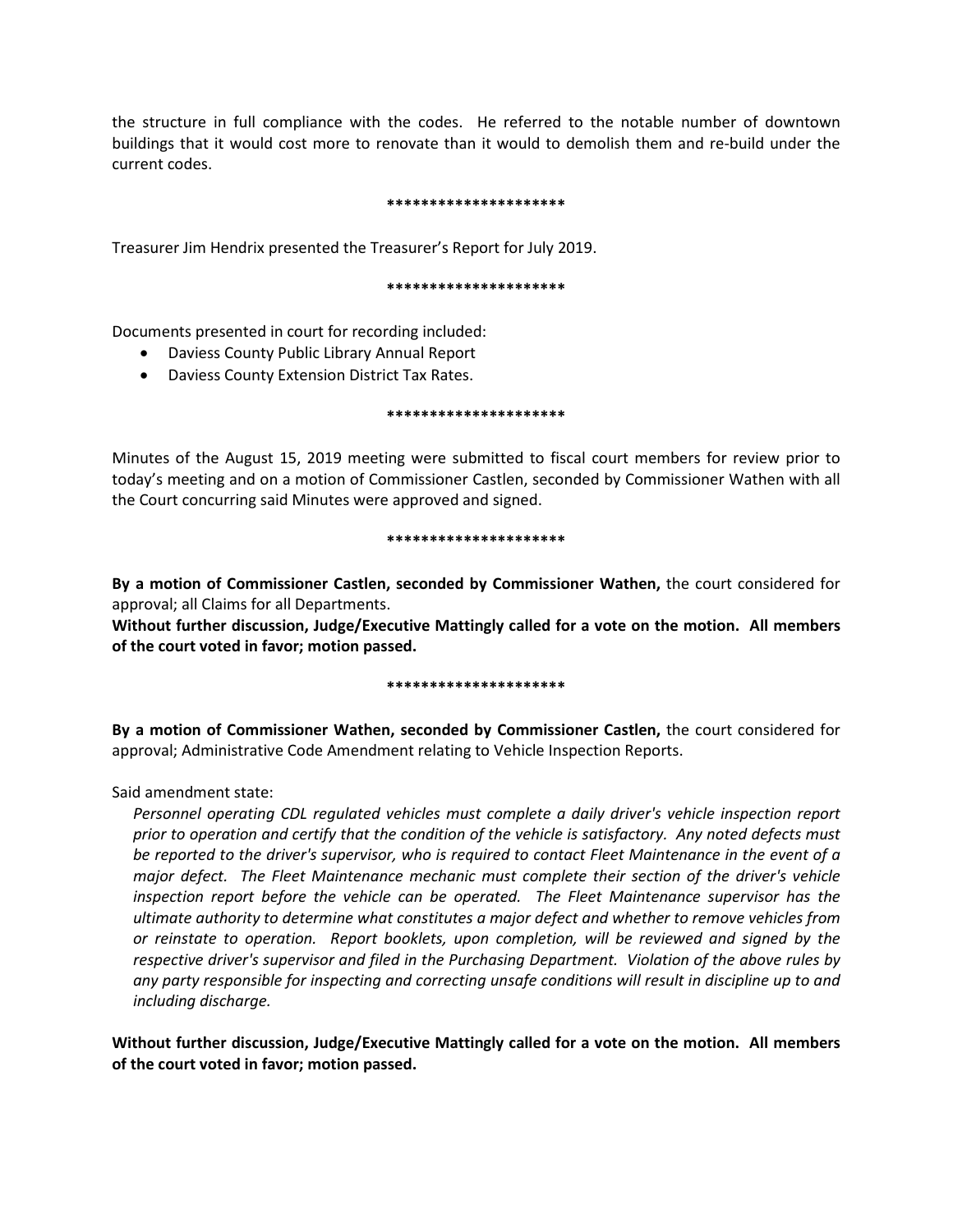the structure in full compliance with the codes. He referred to the notable number of downtown buildings that it would cost more to renovate than it would to demolish them and re-build under the current codes.

# **\*\*\*\*\*\*\*\*\*\*\*\*\*\*\*\*\*\*\*\*\***

Treasurer Jim Hendrix presented the Treasurer's Report for July 2019.

# **\*\*\*\*\*\*\*\*\*\*\*\*\*\*\*\*\*\*\*\*\***

Documents presented in court for recording included:

- Daviess County Public Library Annual Report
- Daviess County Extension District Tax Rates.

# **\*\*\*\*\*\*\*\*\*\*\*\*\*\*\*\*\*\*\*\*\***

Minutes of the August 15, 2019 meeting were submitted to fiscal court members for review prior to today's meeting and on a motion of Commissioner Castlen, seconded by Commissioner Wathen with all the Court concurring said Minutes were approved and signed.

# **\*\*\*\*\*\*\*\*\*\*\*\*\*\*\*\*\*\*\*\*\***

**By a motion of Commissioner Castlen, seconded by Commissioner Wathen,** the court considered for approval; all Claims for all Departments.

**Without further discussion, Judge/Executive Mattingly called for a vote on the motion. All members of the court voted in favor; motion passed.** 

# **\*\*\*\*\*\*\*\*\*\*\*\*\*\*\*\*\*\*\*\*\***

**By a motion of Commissioner Wathen, seconded by Commissioner Castlen,** the court considered for approval; Administrative Code Amendment relating to Vehicle Inspection Reports.

Said amendment state:

*Personnel operating CDL regulated vehicles must complete a daily driver's vehicle inspection report prior to operation and certify that the condition of the vehicle is satisfactory. Any noted defects must be reported to the driver's supervisor, who is required to contact Fleet Maintenance in the event of a major defect. The Fleet Maintenance mechanic must complete their section of the driver's vehicle inspection report before the vehicle can be operated. The Fleet Maintenance supervisor has the ultimate authority to determine what constitutes a major defect and whether to remove vehicles from or reinstate to operation. Report booklets, upon completion, will be reviewed and signed by the respective driver's supervisor and filed in the Purchasing Department. Violation of the above rules by any party responsible for inspecting and correcting unsafe conditions will result in discipline up to and including discharge.*

**Without further discussion, Judge/Executive Mattingly called for a vote on the motion. All members of the court voted in favor; motion passed.**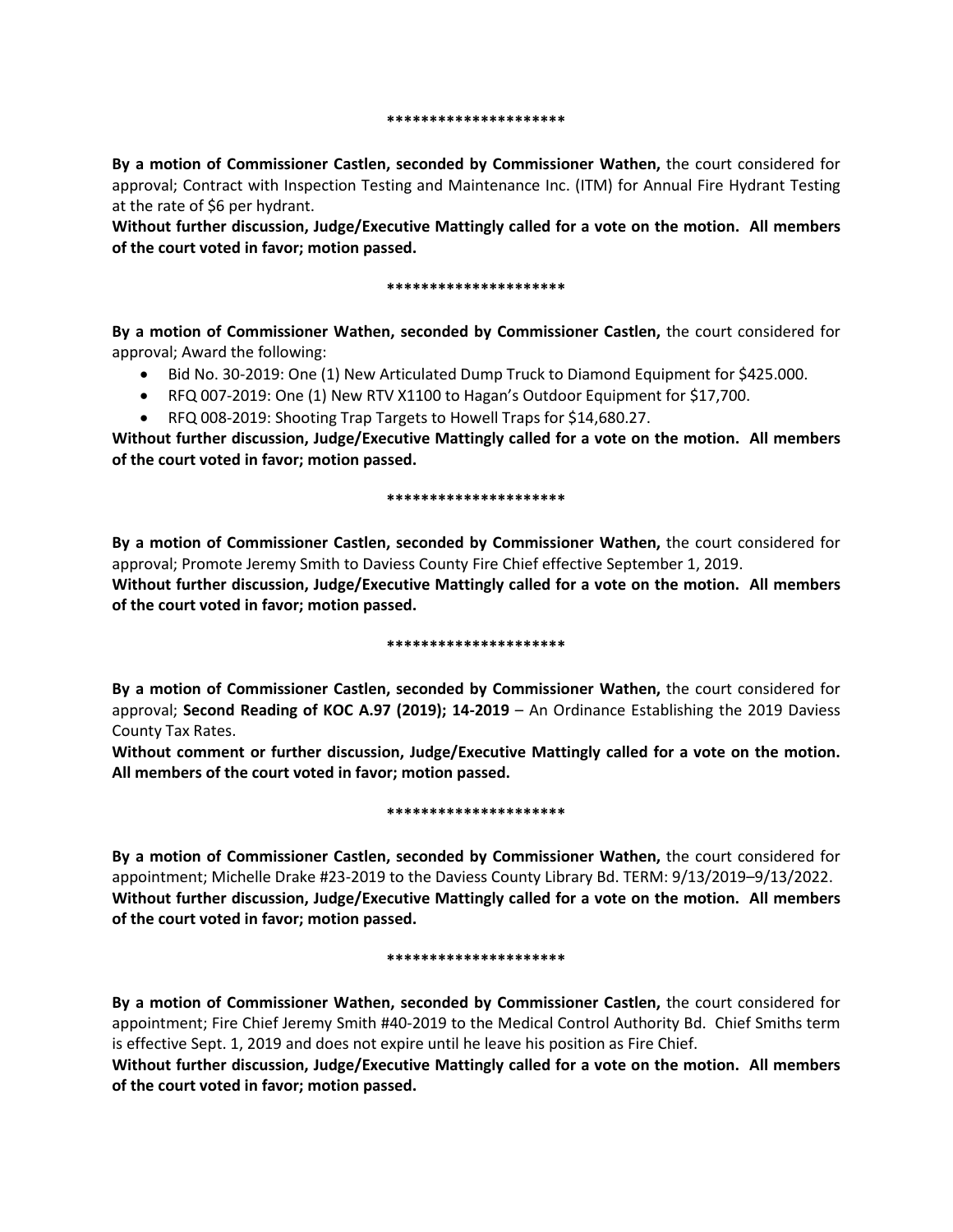#### **\*\*\*\*\*\*\*\*\*\*\*\*\*\*\*\*\*\*\*\*\***

**By a motion of Commissioner Castlen, seconded by Commissioner Wathen,** the court considered for approval; Contract with Inspection Testing and Maintenance Inc. (ITM) for Annual Fire Hydrant Testing at the rate of \$6 per hydrant.

**Without further discussion, Judge/Executive Mattingly called for a vote on the motion. All members of the court voted in favor; motion passed.** 

### **\*\*\*\*\*\*\*\*\*\*\*\*\*\*\*\*\*\*\*\*\***

**By a motion of Commissioner Wathen, seconded by Commissioner Castlen,** the court considered for approval; Award the following:

- Bid No. 30-2019: One (1) New Articulated Dump Truck to Diamond Equipment for \$425.000.
- RFQ 007-2019: One (1) New RTV X1100 to Hagan's Outdoor Equipment for \$17,700.
- RFQ 008-2019: Shooting Trap Targets to Howell Traps for \$14,680.27.

**Without further discussion, Judge/Executive Mattingly called for a vote on the motion. All members of the court voted in favor; motion passed.** 

# **\*\*\*\*\*\*\*\*\*\*\*\*\*\*\*\*\*\*\*\*\***

**By a motion of Commissioner Castlen, seconded by Commissioner Wathen,** the court considered for approval; Promote Jeremy Smith to Daviess County Fire Chief effective September 1, 2019. **Without further discussion, Judge/Executive Mattingly called for a vote on the motion. All members** 

**of the court voted in favor; motion passed.** 

# **\*\*\*\*\*\*\*\*\*\*\*\*\*\*\*\*\*\*\*\*\***

**By a motion of Commissioner Castlen, seconded by Commissioner Wathen,** the court considered for approval; **Second Reading of KOC A.97 (2019); 14-2019** – An Ordinance Establishing the 2019 Daviess County Tax Rates.

**Without comment or further discussion, Judge/Executive Mattingly called for a vote on the motion. All members of the court voted in favor; motion passed.** 

# **\*\*\*\*\*\*\*\*\*\*\*\*\*\*\*\*\*\*\*\*\***

**By a motion of Commissioner Castlen, seconded by Commissioner Wathen,** the court considered for appointment; Michelle Drake #23-2019 to the Daviess County Library Bd. TERM: 9/13/2019–9/13/2022. **Without further discussion, Judge/Executive Mattingly called for a vote on the motion. All members of the court voted in favor; motion passed.** 

# **\*\*\*\*\*\*\*\*\*\*\*\*\*\*\*\*\*\*\*\*\***

**By a motion of Commissioner Wathen, seconded by Commissioner Castlen,** the court considered for appointment; Fire Chief Jeremy Smith #40-2019 to the Medical Control Authority Bd. Chief Smiths term is effective Sept. 1, 2019 and does not expire until he leave his position as Fire Chief.

**Without further discussion, Judge/Executive Mattingly called for a vote on the motion. All members of the court voted in favor; motion passed.**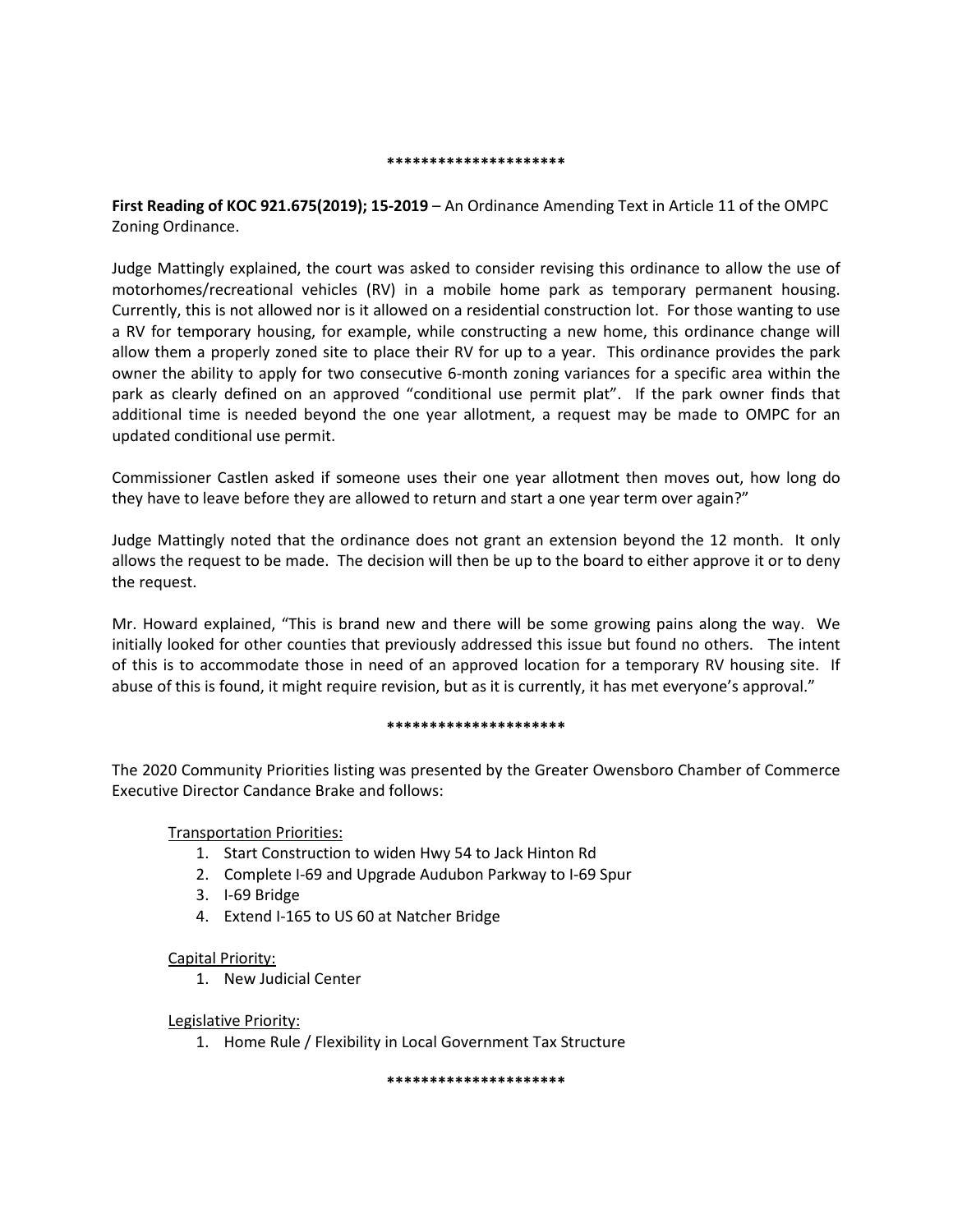# **\*\*\*\*\*\*\*\*\*\*\*\*\*\*\*\*\*\*\*\*\***

**First Reading of KOC 921.675(2019); 15-2019** – An Ordinance Amending Text in Article 11 of the OMPC Zoning Ordinance.

Judge Mattingly explained, the court was asked to consider revising this ordinance to allow the use of motorhomes/recreational vehicles (RV) in a mobile home park as temporary permanent housing. Currently, this is not allowed nor is it allowed on a residential construction lot. For those wanting to use a RV for temporary housing, for example, while constructing a new home, this ordinance change will allow them a properly zoned site to place their RV for up to a year. This ordinance provides the park owner the ability to apply for two consecutive 6-month zoning variances for a specific area within the park as clearly defined on an approved "conditional use permit plat". If the park owner finds that additional time is needed beyond the one year allotment, a request may be made to OMPC for an updated conditional use permit.

Commissioner Castlen asked if someone uses their one year allotment then moves out, how long do they have to leave before they are allowed to return and start a one year term over again?"

Judge Mattingly noted that the ordinance does not grant an extension beyond the 12 month. It only allows the request to be made. The decision will then be up to the board to either approve it or to deny the request.

Mr. Howard explained, "This is brand new and there will be some growing pains along the way. We initially looked for other counties that previously addressed this issue but found no others. The intent of this is to accommodate those in need of an approved location for a temporary RV housing site. If abuse of this is found, it might require revision, but as it is currently, it has met everyone's approval."

# **\*\*\*\*\*\*\*\*\*\*\*\*\*\*\*\*\*\*\*\*\***

The 2020 Community Priorities listing was presented by the Greater Owensboro Chamber of Commerce Executive Director Candance Brake and follows:

Transportation Priorities:

- 1. Start Construction to widen Hwy 54 to Jack Hinton Rd
- 2. Complete I-69 and Upgrade Audubon Parkway to I-69 Spur
- 3. I-69 Bridge
- 4. Extend I-165 to US 60 at Natcher Bridge

# Capital Priority:

1. New Judicial Center

# Legislative Priority:

1. Home Rule / Flexibility in Local Government Tax Structure

**\*\*\*\*\*\*\*\*\*\*\*\*\*\*\*\*\*\*\*\*\***